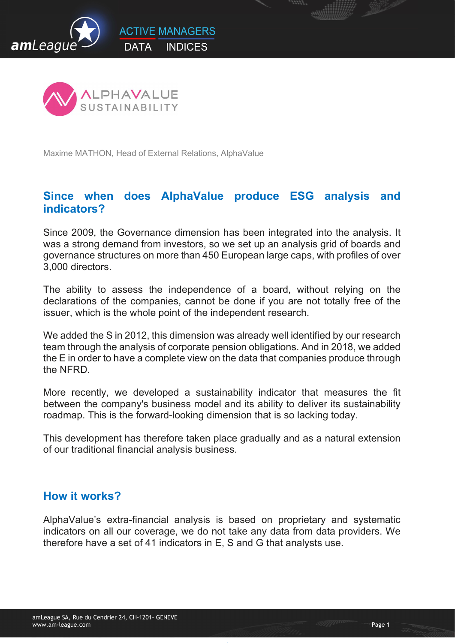



Maxime MATHON, Head of External Relations, AlphaValue

## Since when does AlphaValue produce ESG analysis and indicators?

Since 2009, the Governance dimension has been integrated into the analysis. It was a strong demand from investors, so we set up an analysis grid of boards and governance structures on more than 450 European large caps, with profiles of over 3,000 directors.

The ability to assess the independence of a board, without relying on the declarations of the companies, cannot be done if you are not totally free of the issuer, which is the whole point of the independent research.

We added the S in 2012, this dimension was already well identified by our research team through the analysis of corporate pension obligations. And in 2018, we added the E in order to have a complete view on the data that companies produce through the NFRD.

More recently, we developed a sustainability indicator that measures the fit between the company's business model and its ability to deliver its sustainability roadmap. This is the forward-looking dimension that is so lacking today.

This development has therefore taken place gradually and as a natural extension of our traditional financial analysis business.

#### How it works?

AlphaValue's extra-financial analysis is based on proprietary and systematic indicators on all our coverage, we do not take any data from data providers. We therefore have a set of 41 indicators in E, S and G that analysts use.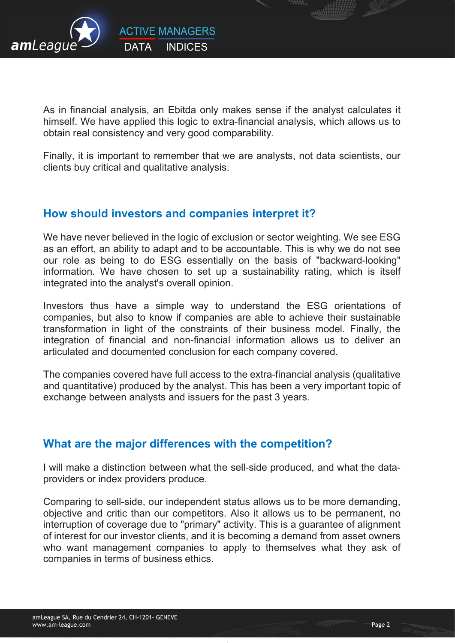

As in financial analysis, an Ebitda only makes sense if the analyst calculates it himself. We have applied this logic to extra-financial analysis, which allows us to obtain real consistency and very good comparability.

Finally, it is important to remember that we are analysts, not data scientists, our clients buy critical and qualitative analysis.

# How should investors and companies interpret it?

We have never believed in the logic of exclusion or sector weighting. We see ESG as an effort, an ability to adapt and to be accountable. This is why we do not see our role as being to do ESG essentially on the basis of "backward-looking" information. We have chosen to set up a sustainability rating, which is itself integrated into the analyst's overall opinion.

Investors thus have a simple way to understand the ESG orientations of companies, but also to know if companies are able to achieve their sustainable transformation in light of the constraints of their business model. Finally, the integration of financial and non-financial information allows us to deliver an articulated and documented conclusion for each company covered.

The companies covered have full access to the extra-financial analysis (qualitative and quantitative) produced by the analyst. This has been a very important topic of exchange between analysts and issuers for the past 3 years.

# What are the major differences with the competition?

I will make a distinction between what the sell-side produced, and what the dataproviders or index providers produce.

Comparing to sell-side, our independent status allows us to be more demanding, objective and critic than our competitors. Also it allows us to be permanent, no interruption of coverage due to "primary" activity. This is a guarantee of alignment of interest for our investor clients, and it is becoming a demand from asset owners who want management companies to apply to themselves what they ask of companies in terms of business ethics.